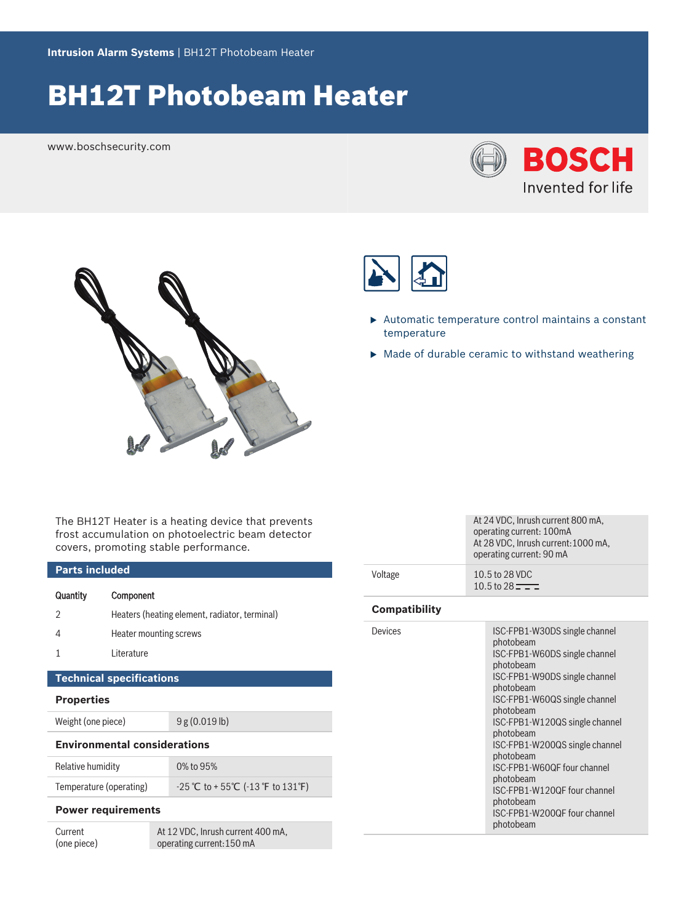# BH12T Photobeam Heater

www.boschsecurity.com







- $\triangleright$  Automatic temperature control maintains a constant temperature
- $\blacktriangleright$  Made of durable ceramic to withstand weathering

The BH12T Heater is a heating device that prevents frost accumulation on photoelectric beam detector covers, promoting stable performance.

# **Parts included**

| Quantity      | <b>Component</b>                              |
|---------------|-----------------------------------------------|
| $\mathcal{D}$ | Heaters (heating element, radiator, terminal) |
|               | Heater mounting screws                        |
|               | Literature                                    |

# **Technical specifications**

# **Properties**

Weight (one piece) 9 g (0.019 lb)

### **Environmental considerations**

| Relative humidity |  |  |
|-------------------|--|--|
|                   |  |  |

0% to 95% Temperature (operating)  $-25 \text{ °C}$  to + 55 $\text{°C}$  (-13  $\text{°F}$  to 131 $\text{°F}$ )

# **Power requirements**

Current (one piece)

At 12 VDC, Inrush current 400 mA, operating current:150 mA

|         | At 24 VDC, Inrush current 800 mA,<br>operating current: 100mA<br>At 28 VDC, Inrush current: 1000 mA,<br>operating current: 90 mA |
|---------|----------------------------------------------------------------------------------------------------------------------------------|
| Voltage | 10.5 to 28 VDC<br>10.5 to $28 = -$                                                                                               |

# **Compatibility**

| Devices | ISC-FPB1-W30DS single channel<br>photobeam<br>ISC-FPB1-W60DS single channel<br>photobeam<br>ISC-FPB1-W90DS single channel<br>photobeam<br>ISC-FPB1-W60QS single channel<br>photobeam<br>ISC-FPB1-W120QS single channel<br>photobeam<br>ISC-FPB1-W200QS single channel<br>photobeam<br>ISC-FPB1-W60QF four channel<br>photobeam<br>ISC-FPB1-W120QF four channel<br>photobeam<br>ISC-FPB1-W200QF four channel<br>photobeam |
|---------|--------------------------------------------------------------------------------------------------------------------------------------------------------------------------------------------------------------------------------------------------------------------------------------------------------------------------------------------------------------------------------------------------------------------------|
|---------|--------------------------------------------------------------------------------------------------------------------------------------------------------------------------------------------------------------------------------------------------------------------------------------------------------------------------------------------------------------------------------------------------------------------------|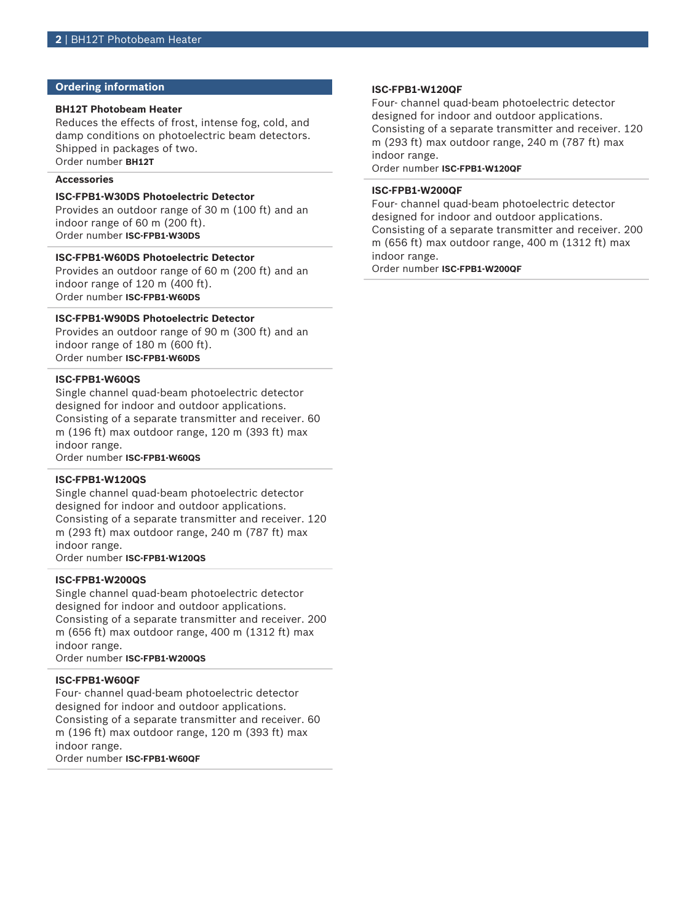# **Ordering information**

### **BH12T Photobeam Heater**

Reduces the effects of frost, intense fog, cold, and damp conditions on photoelectric beam detectors. Shipped in packages of two. Order number **BH12T**

#### **Accessories**

#### **ISC-FPB1-W30DS Photoelectric Detector**

Provides an outdoor range of 30 m (100 ft) and an indoor range of 60 m (200 ft). Order number **ISC-FPB1-W30DS**

#### **ISC-FPB1-W60DS Photoelectric Detector**

Provides an outdoor range of 60 m (200 ft) and an indoor range of 120 m (400 ft). Order number **ISC-FPB1-W60DS**

### **ISC-FPB1-W90DS Photoelectric Detector**

Provides an outdoor range of 90 m (300 ft) and an indoor range of 180 m (600 ft). Order number **ISC-FPB1-W60DS**

# **ISC-FPB1-W60QS**

Single channel quad-beam photoelectric detector designed for indoor and outdoor applications. Consisting of a separate transmitter and receiver. 60 m (196 ft) max outdoor range, 120 m (393 ft) max indoor range.

Order number **ISC-FPB1-W60QS**

#### **ISC-FPB1-W120QS**

Single channel quad-beam photoelectric detector designed for indoor and outdoor applications. Consisting of a separate transmitter and receiver. 120 m (293 ft) max outdoor range, 240 m (787 ft) max indoor range.

Order number **ISC-FPB1-W120QS**

# **ISC-FPB1-W200QS**

Single channel quad-beam photoelectric detector designed for indoor and outdoor applications. Consisting of a separate transmitter and receiver. 200 m (656 ft) max outdoor range, 400 m (1312 ft) max indoor range. Order number **ISC-FPB1-W200QS**

# **ISC-FPB1-W60QF**

Four- channel quad-beam photoelectric detector designed for indoor and outdoor applications. Consisting of a separate transmitter and receiver. 60 m (196 ft) max outdoor range, 120 m (393 ft) max indoor range. Order number **ISC-FPB1-W60QF**

### **ISC-FPB1-W120QF**

Four- channel quad-beam photoelectric detector designed for indoor and outdoor applications. Consisting of a separate transmitter and receiver. 120 m (293 ft) max outdoor range, 240 m (787 ft) max indoor range.

#### Order number **ISC-FPB1-W120QF**

#### **ISC-FPB1-W200QF**

Four- channel quad-beam photoelectric detector designed for indoor and outdoor applications. Consisting of a separate transmitter and receiver. 200 m (656 ft) max outdoor range, 400 m (1312 ft) max indoor range.

Order number **ISC-FPB1-W200QF**